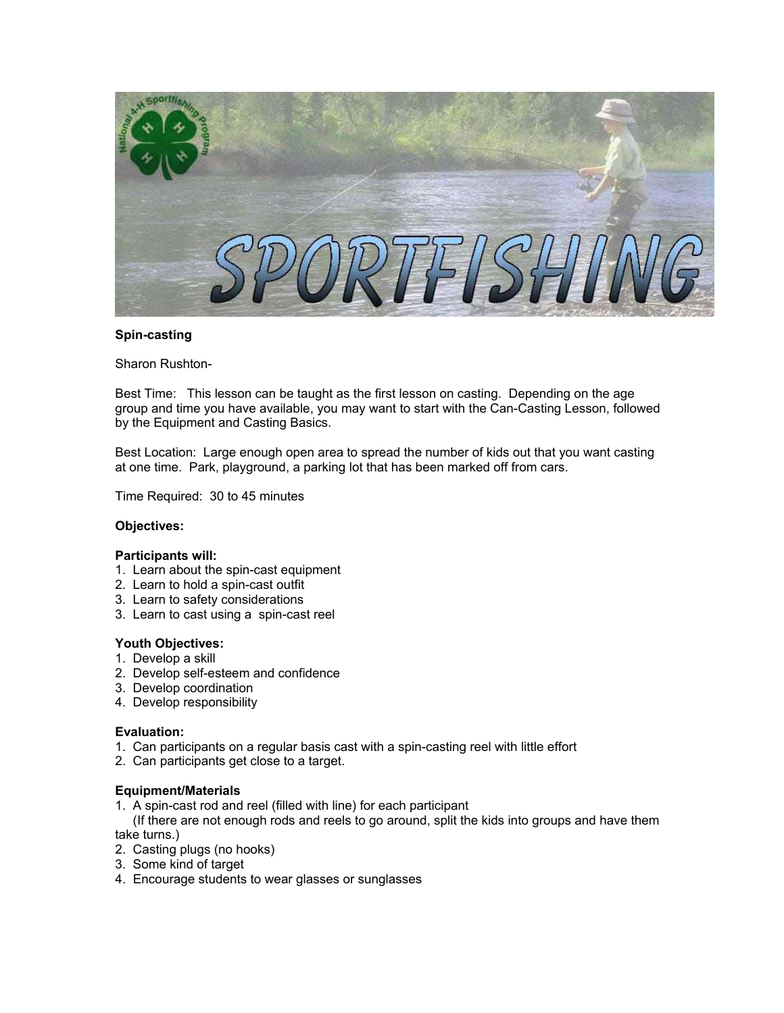

### **Spin-casting**

Sharon Rushton-

Best Time: This lesson can be taught as the first lesson on casting. Depending on the age group and time you have available, you may want to start with the Can-Casting Lesson, followed by the Equipment and Casting Basics.

Best Location: Large enough open area to spread the number of kids out that you want casting at one time. Park, playground, a parking lot that has been marked off from cars.

Time Required: 30 to 45 minutes

#### **Objectives:**

#### **Participants will:**

- 1. Learn about the spin-cast equipment
- 2. Learn to hold a spin-cast outfit
- 3. Learn to safety considerations
- 3. Learn to cast using a spin-cast reel

### **Youth Objectives:**

- 1. Develop a skill
- 2. Develop self-esteem and confidence
- 3. Develop coordination
- 4. Develop responsibility

### **Evaluation:**

- 1. Can participants on a regular basis cast with a spin-casting reel with little effort
- 2. Can participants get close to a target.

#### **Equipment/Materials**

1. A spin-cast rod and reel (filled with line) for each participant

 (If there are not enough rods and reels to go around, split the kids into groups and have them take turns.)

- 2. Casting plugs (no hooks)
- 3. Some kind of target
- 4. Encourage students to wear glasses or sunglasses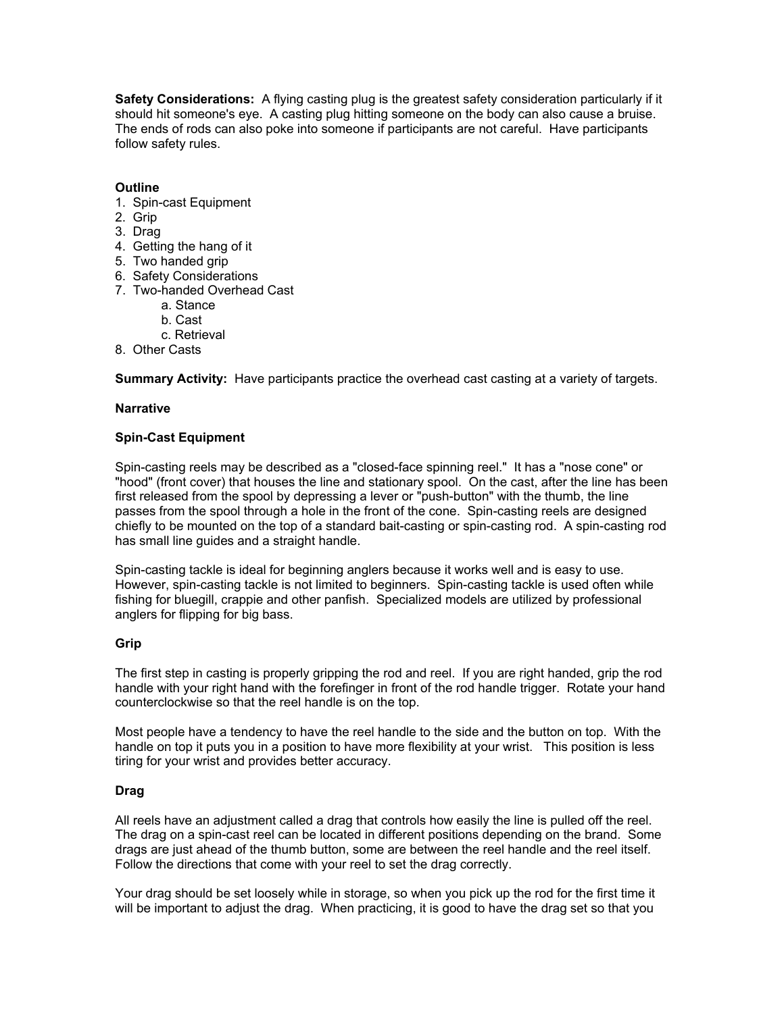**Safety Considerations:** A flying casting plug is the greatest safety consideration particularly if it should hit someone's eye. A casting plug hitting someone on the body can also cause a bruise. The ends of rods can also poke into someone if participants are not careful. Have participants follow safety rules.

## **Outline**

- 1. Spin-cast Equipment
- 2. Grip
- 3. Drag
- 4. Getting the hang of it
- 5. Two handed grip
- 6. Safety Considerations
- 7. Two-handed Overhead Cast
	- a. Stance
	- b. Cast
	- c. Retrieval
- 8. Other Casts

**Summary Activity:** Have participants practice the overhead cast casting at a variety of targets.

### **Narrative**

### **Spin-Cast Equipment**

Spin-casting reels may be described as a "closed-face spinning reel." It has a "nose cone" or "hood" (front cover) that houses the line and stationary spool. On the cast, after the line has been first released from the spool by depressing a lever or "push-button" with the thumb, the line passes from the spool through a hole in the front of the cone. Spin-casting reels are designed chiefly to be mounted on the top of a standard bait-casting or spin-casting rod. A spin-casting rod has small line guides and a straight handle.

Spin-casting tackle is ideal for beginning anglers because it works well and is easy to use. However, spin-casting tackle is not limited to beginners. Spin-casting tackle is used often while fishing for bluegill, crappie and other panfish. Specialized models are utilized by professional anglers for flipping for big bass.

### **Grip**

The first step in casting is properly gripping the rod and reel. If you are right handed, grip the rod handle with your right hand with the forefinger in front of the rod handle trigger. Rotate your hand counterclockwise so that the reel handle is on the top.

Most people have a tendency to have the reel handle to the side and the button on top. With the handle on top it puts you in a position to have more flexibility at your wrist. This position is less tiring for your wrist and provides better accuracy.

### **Drag**

All reels have an adjustment called a drag that controls how easily the line is pulled off the reel. The drag on a spin-cast reel can be located in different positions depending on the brand. Some drags are just ahead of the thumb button, some are between the reel handle and the reel itself. Follow the directions that come with your reel to set the drag correctly.

Your drag should be set loosely while in storage, so when you pick up the rod for the first time it will be important to adjust the drag. When practicing, it is good to have the drag set so that you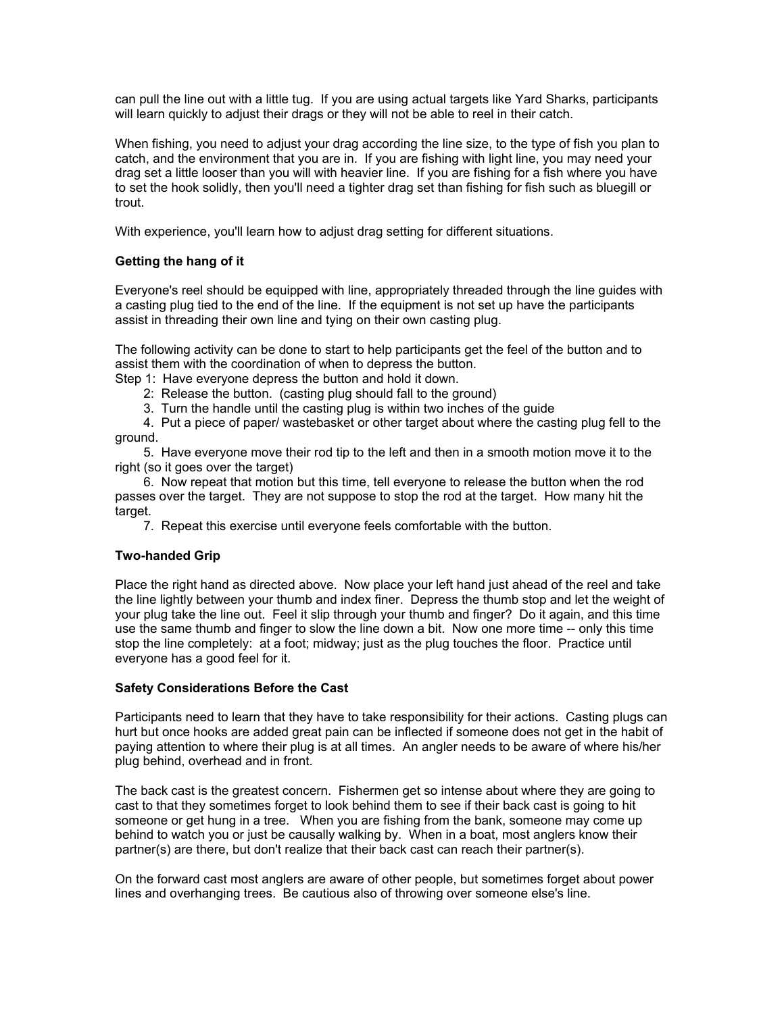can pull the line out with a little tug. If you are using actual targets like Yard Sharks, participants will learn quickly to adjust their drags or they will not be able to reel in their catch.

When fishing, you need to adjust your drag according the line size, to the type of fish you plan to catch, and the environment that you are in. If you are fishing with light line, you may need your drag set a little looser than you will with heavier line. If you are fishing for a fish where you have to set the hook solidly, then you'll need a tighter drag set than fishing for fish such as bluegill or trout.

With experience, you'll learn how to adjust drag setting for different situations.

## **Getting the hang of it**

Everyone's reel should be equipped with line, appropriately threaded through the line guides with a casting plug tied to the end of the line. If the equipment is not set up have the participants assist in threading their own line and tying on their own casting plug.

The following activity can be done to start to help participants get the feel of the button and to assist them with the coordination of when to depress the button.

Step 1: Have everyone depress the button and hold it down.

- 2: Release the button. (casting plug should fall to the ground)
- 3. Turn the handle until the casting plug is within two inches of the guide

 4. Put a piece of paper/ wastebasket or other target about where the casting plug fell to the ground.

 5. Have everyone move their rod tip to the left and then in a smooth motion move it to the right (so it goes over the target)

 6. Now repeat that motion but this time, tell everyone to release the button when the rod passes over the target. They are not suppose to stop the rod at the target. How many hit the target.

7. Repeat this exercise until everyone feels comfortable with the button.

### **Two-handed Grip**

Place the right hand as directed above. Now place your left hand just ahead of the reel and take the line lightly between your thumb and index finer. Depress the thumb stop and let the weight of your plug take the line out. Feel it slip through your thumb and finger? Do it again, and this time use the same thumb and finger to slow the line down a bit. Now one more time -- only this time stop the line completely: at a foot; midway; just as the plug touches the floor. Practice until everyone has a good feel for it.

### **Safety Considerations Before the Cast**

Participants need to learn that they have to take responsibility for their actions. Casting plugs can hurt but once hooks are added great pain can be inflected if someone does not get in the habit of paying attention to where their plug is at all times. An angler needs to be aware of where his/her plug behind, overhead and in front.

The back cast is the greatest concern. Fishermen get so intense about where they are going to cast to that they sometimes forget to look behind them to see if their back cast is going to hit someone or get hung in a tree. When you are fishing from the bank, someone may come up behind to watch you or just be causally walking by. When in a boat, most anglers know their partner(s) are there, but don't realize that their back cast can reach their partner(s).

On the forward cast most anglers are aware of other people, but sometimes forget about power lines and overhanging trees. Be cautious also of throwing over someone else's line.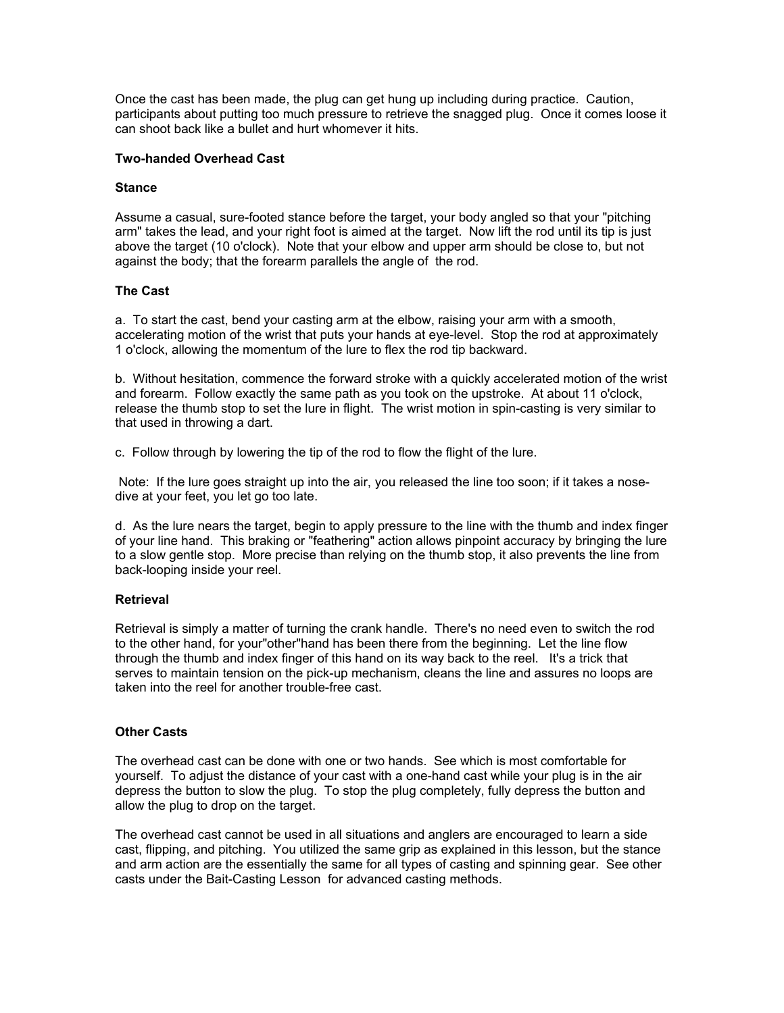Once the cast has been made, the plug can get hung up including during practice. Caution, participants about putting too much pressure to retrieve the snagged plug. Once it comes loose it can shoot back like a bullet and hurt whomever it hits.

## **Two-handed Overhead Cast**

## **Stance**

Assume a casual, sure-footed stance before the target, your body angled so that your "pitching arm" takes the lead, and your right foot is aimed at the target. Now lift the rod until its tip is just above the target (10 o'clock). Note that your elbow and upper arm should be close to, but not against the body; that the forearm parallels the angle of the rod.

## **The Cast**

a. To start the cast, bend your casting arm at the elbow, raising your arm with a smooth, accelerating motion of the wrist that puts your hands at eye-level. Stop the rod at approximately 1 o'clock, allowing the momentum of the lure to flex the rod tip backward.

b. Without hesitation, commence the forward stroke with a quickly accelerated motion of the wrist and forearm. Follow exactly the same path as you took on the upstroke. At about 11 o'clock, release the thumb stop to set the lure in flight. The wrist motion in spin-casting is very similar to that used in throwing a dart.

c. Follow through by lowering the tip of the rod to flow the flight of the lure.

 Note: If the lure goes straight up into the air, you released the line too soon; if it takes a nosedive at your feet, you let go too late.

d. As the lure nears the target, begin to apply pressure to the line with the thumb and index finger of your line hand. This braking or "feathering" action allows pinpoint accuracy by bringing the lure to a slow gentle stop. More precise than relying on the thumb stop, it also prevents the line from back-looping inside your reel.

# **Retrieval**

Retrieval is simply a matter of turning the crank handle. There's no need even to switch the rod to the other hand, for your"other"hand has been there from the beginning. Let the line flow through the thumb and index finger of this hand on its way back to the reel. It's a trick that serves to maintain tension on the pick-up mechanism, cleans the line and assures no loops are taken into the reel for another trouble-free cast.

# **Other Casts**

The overhead cast can be done with one or two hands. See which is most comfortable for yourself. To adjust the distance of your cast with a one-hand cast while your plug is in the air depress the button to slow the plug. To stop the plug completely, fully depress the button and allow the plug to drop on the target.

The overhead cast cannot be used in all situations and anglers are encouraged to learn a side cast, flipping, and pitching. You utilized the same grip as explained in this lesson, but the stance and arm action are the essentially the same for all types of casting and spinning gear. See other casts under the Bait-Casting Lesson for advanced casting methods.